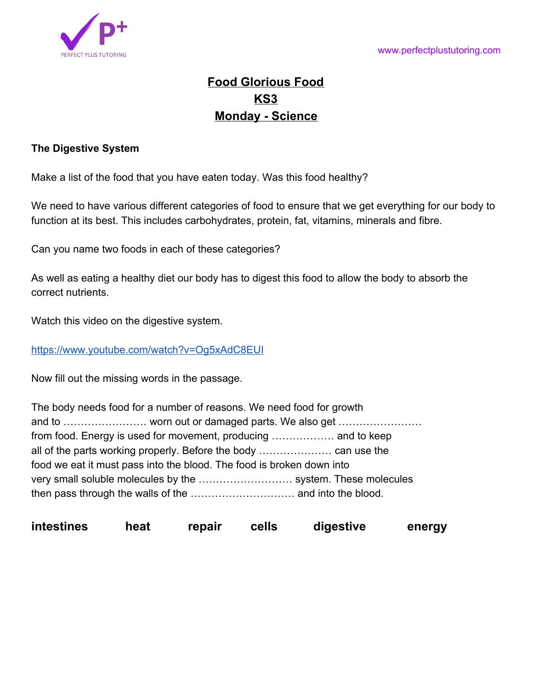

## **Food Glorious Food KS3 Monday - Science**

## **The Digestive System**

Make a list of the food that you have eaten today. Was this food healthy?

We need to have various different categories of food to ensure that we get everything for our body to function at its best. This includes carbohydrates, protein, fat, vitamins, minerals and fibre.

Can you name two foods in each of these categories?

As well as eating a healthy diet our body has to digest this food to allow the body to absorb the correct nutrients.

Watch this video on the digestive system.

<https://www.youtube.com/watch?v=Og5xAdC8EUI>

Now fill out the missing words in the passage.

| The body needs food for a number of reasons. We need food for growth  |  |  |  |
|-----------------------------------------------------------------------|--|--|--|
|                                                                       |  |  |  |
|                                                                       |  |  |  |
|                                                                       |  |  |  |
| food we eat it must pass into the blood. The food is broken down into |  |  |  |
|                                                                       |  |  |  |
|                                                                       |  |  |  |

**intestines heat repair cells digestive energy**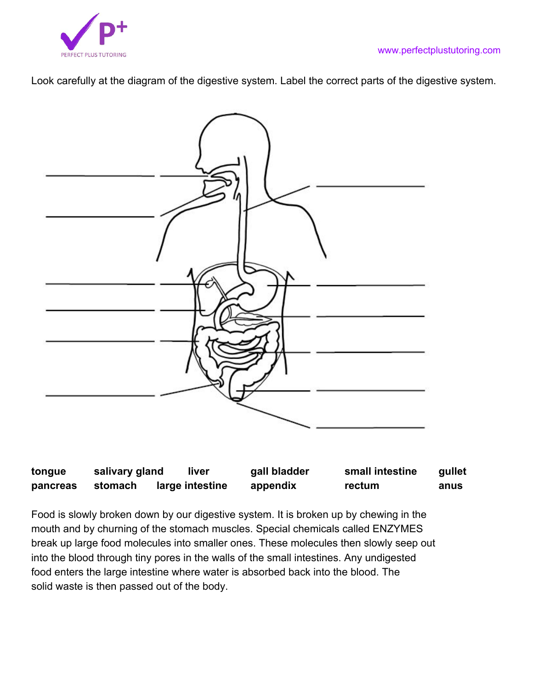

Look carefully at the diagram of the digestive system. Label the correct parts of the digestive system.



| tongue   | salivary gland | liver           | gall bladder | small intestine | gullet |
|----------|----------------|-----------------|--------------|-----------------|--------|
| pancreas | stomach        | large intestine | appendix     | rectum          | anus   |

Food is slowly broken down by our digestive system. It is broken up by chewing in the mouth and by churning of the stomach muscles. Special chemicals called ENZYMES break up large food molecules into smaller ones. These molecules then slowly seep out into the blood through tiny pores in the walls of the small intestines. Any undigested food enters the large intestine where water is absorbed back into the blood. The solid waste is then passed out of the body.